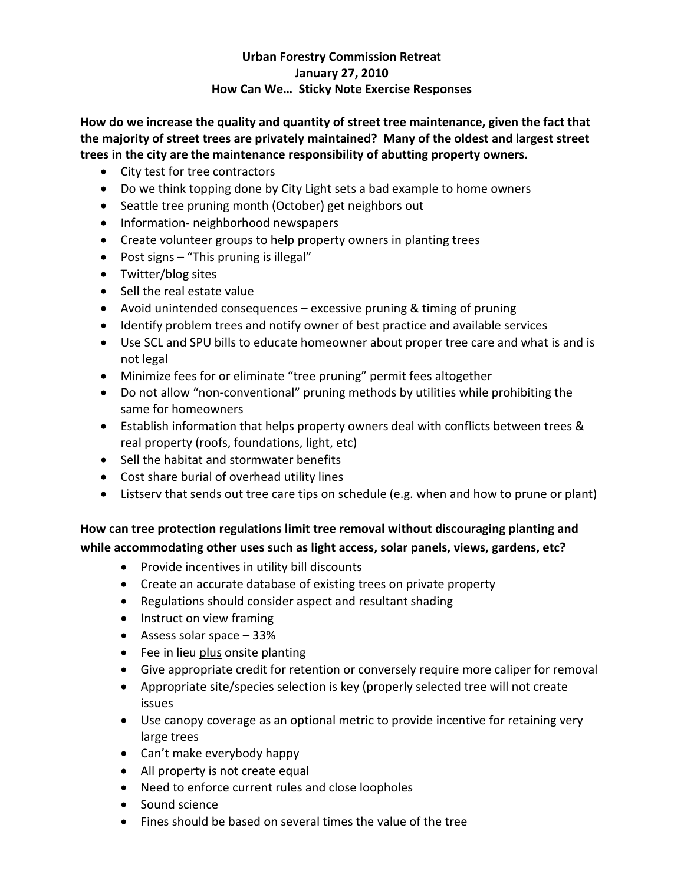## **Urban Forestry Commission Retreat January 27, 2010 How Can We… Sticky Note Exercise Responses**

**How do we increase the quality and quantity of street tree maintenance, given the fact that the majority of street trees are privately maintained? Many of the oldest and largest street trees in the city are the maintenance responsibility of abutting property owners.**

- City test for tree contractors
- Do we think topping done by City Light sets a bad example to home owners
- Seattle tree pruning month (October) get neighbors out
- Information- neighborhood newspapers
- Create volunteer groups to help property owners in planting trees
- Post signs "This pruning is illegal"
- Twitter/blog sites
- Sell the real estate value
- Avoid unintended consequences excessive pruning & timing of pruning
- Identify problem trees and notify owner of best practice and available services
- Use SCL and SPU bills to educate homeowner about proper tree care and what is and is not legal
- Minimize fees for or eliminate "tree pruning" permit fees altogether
- Do not allow "non-conventional" pruning methods by utilities while prohibiting the same for homeowners
- Establish information that helps property owners deal with conflicts between trees & real property (roofs, foundations, light, etc)
- Sell the habitat and stormwater benefits
- Cost share burial of overhead utility lines
- Listserv that sends out tree care tips on schedule (e.g. when and how to prune or plant)

**How can tree protection regulations limit tree removal without discouraging planting and while accommodating other uses such as light access, solar panels, views, gardens, etc?**

- Provide incentives in utility bill discounts
- Create an accurate database of existing trees on private property
- Regulations should consider aspect and resultant shading
- Instruct on view framing
- Assess solar space 33%
- Fee in lieu plus onsite planting
- Give appropriate credit for retention or conversely require more caliper for removal
- Appropriate site/species selection is key (properly selected tree will not create issues
- Use canopy coverage as an optional metric to provide incentive for retaining very large trees
- Can't make everybody happy
- All property is not create equal
- Need to enforce current rules and close loopholes
- Sound science
- Fines should be based on several times the value of the tree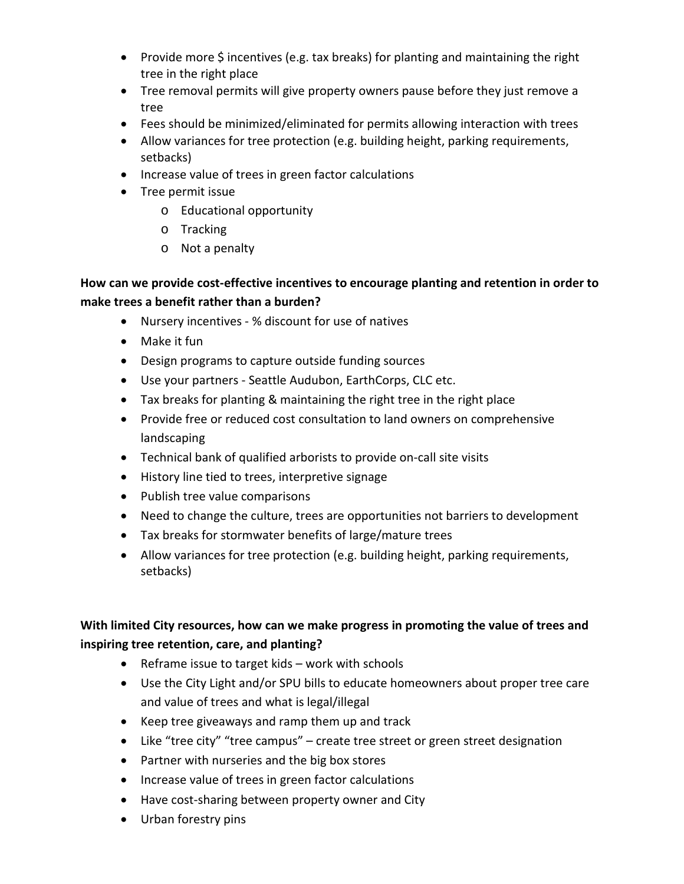- Provide more  $\zeta$  incentives (e.g. tax breaks) for planting and maintaining the right tree in the right place
- Tree removal permits will give property owners pause before they just remove a tree
- Fees should be minimized/eliminated for permits allowing interaction with trees
- Allow variances for tree protection (e.g. building height, parking requirements, setbacks)
- Increase value of trees in green factor calculations
- Tree permit issue
	- o Educational opportunity
	- o Tracking
	- o Not a penalty

## **How can we provide cost-effective incentives to encourage planting and retention in order to make trees a benefit rather than a burden?**

- Nursery incentives % discount for use of natives
- Make it fun
- Design programs to capture outside funding sources
- Use your partners Seattle Audubon, EarthCorps, CLC etc.
- Tax breaks for planting & maintaining the right tree in the right place
- Provide free or reduced cost consultation to land owners on comprehensive landscaping
- Technical bank of qualified arborists to provide on-call site visits
- History line tied to trees, interpretive signage
- Publish tree value comparisons
- Need to change the culture, trees are opportunities not barriers to development
- Tax breaks for stormwater benefits of large/mature trees
- Allow variances for tree protection (e.g. building height, parking requirements, setbacks)

## **With limited City resources, how can we make progress in promoting the value of trees and inspiring tree retention, care, and planting?**

- Reframe issue to target kids work with schools
- Use the City Light and/or SPU bills to educate homeowners about proper tree care and value of trees and what is legal/illegal
- Keep tree giveaways and ramp them up and track
- Like "tree city" "tree campus" create tree street or green street designation
- Partner with nurseries and the big box stores
- Increase value of trees in green factor calculations
- Have cost-sharing between property owner and City
- Urban forestry pins